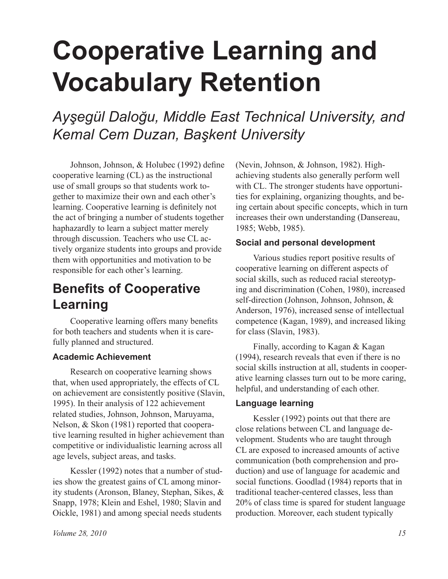# **Cooperative Learning and Vocabulary Retention**

*Ayşegül Daloğu, Middle East Technical University, and Kemal Cem Duzan, Başkent University*

Johnson, Johnson, & Holubec (1992) defne cooperative learning (CL) as the instructional use of small groups so that students work together to maximize their own and each other's learning. Cooperative learning is defnitely not the act of bringing a number of students together haphazardly to learn a subject matter merely through discussion. Teachers who use CL actively organize students into groups and provide them with opportunities and motivation to be responsible for each other's learning.

# **Benefits of Cooperative Learning**

Cooperative learning offers many benefts for both teachers and students when it is carefully planned and structured.

## **Academic Achievement**

Research on cooperative learning shows that, when used appropriately, the effects of CL on achievement are consistently positive (Slavin, 1995). In their analysis of 122 achievement related studies, Johnson, Johnson, Maruyama, Nelson, & Skon (1981) reported that cooperative learning resulted in higher achievement than competitive or individualistic learning across all age levels, subject areas, and tasks.

Kessler (1992) notes that a number of studies show the greatest gains of CL among minority students (Aronson, Blaney, Stephan, Sikes, & Snapp, 1978; Klein and Eshel, 1980; Slavin and Oickle, 1981) and among special needs students

(Nevin, Johnson, & Johnson, 1982). Highachieving students also generally perform well with CL. The stronger students have opportunities for explaining, organizing thoughts, and being certain about specifc concepts, which in turn increases their own understanding (Dansereau, 1985; Webb, 1985).

#### **Social and personal development**

Various studies report positive results of cooperative learning on different aspects of social skills, such as reduced racial stereotyping and discrimination (Cohen, 1980), increased self-direction (Johnson, Johnson, Johnson, & Anderson, 1976), increased sense of intellectual competence (Kagan, 1989), and increased liking for class (Slavin, 1983).

Finally, according to Kagan & Kagan (1994), research reveals that even if there is no social skills instruction at all, students in cooperative learning classes turn out to be more caring, helpful, and understanding of each other.

#### **Language learning**

Kessler (1992) points out that there are close relations between CL and language development. Students who are taught through CL are exposed to increased amounts of active communication (both comprehension and production) and use of language for academic and social functions. Goodlad (1984) reports that in traditional teacher-centered classes, less than 20% of class time is spared for student language production. Moreover, each student typically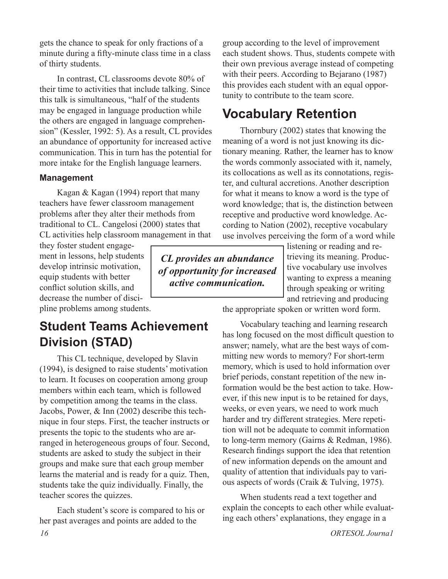gets the chance to speak for only fractions of a minute during a ffty-minute class time in a class of thirty students.

In contrast, CL classrooms devote 80% of their time to activities that include talking. Since this talk is simultaneous, "half of the students may be engaged in language production while the others are engaged in language comprehension" (Kessler, 1992: 5). As a result, CL provides an abundance of opportunity for increased active communication. This in turn has the potential for more intake for the English language learners.

#### **Management**

Kagan & Kagan (1994) report that many teachers have fewer classroom management problems after they alter their methods from traditional to CL. Cangelosi (2000) states that CL activities help classroom management in that

they foster student engagement in lessons, help students develop intrinsic motivation, equip students with better confict solution skills, and decrease the number of discipline problems among students.

## **Student Teams Achievement Division (STAD)**

This CL technique, developed by Slavin (1994), is designed to raise students' motivation to learn. It focuses on cooperation among group members within each team, which is followed by competition among the teams in the class. Jacobs, Power, & Inn (2002) describe this technique in four steps. First, the teacher instructs or presents the topic to the students who are arranged in heterogeneous groups of four. Second, students are asked to study the subject in their groups and make sure that each group member learns the material and is ready for a quiz. Then, students take the quiz individually. Finally, the teacher scores the quizzes.

Each student's score is compared to his or her past averages and points are added to the

*CL provides an abundance of opportunity for increased active communication.* 

group according to the level of improvement each student shows. Thus, students compete with their own previous average instead of competing with their peers. According to Bejarano (1987) this provides each student with an equal opportunity to contribute to the team score.

## **Vocabulary Retention**

Thornbury (2002) states that knowing the meaning of a word is not just knowing its dictionary meaning. Rather, the learner has to know the words commonly associated with it, namely, its collocations as well as its connotations, register, and cultural accretions. Another description for what it means to know a word is the type of word knowledge; that is, the distinction between receptive and productive word knowledge. According to Nation (2002), receptive vocabulary use involves perceiving the form of a word while

> listening or reading and retrieving its meaning. Productive vocabulary use involves wanting to express a meaning through speaking or writing and retrieving and producing

the appropriate spoken or written word form.

Vocabulary teaching and learning research has long focused on the most difficult question to answer; namely, what are the best ways of committing new words to memory? For short-term memory, which is used to hold information over brief periods, constant repetition of the new information would be the best action to take. However, if this new input is to be retained for days, weeks, or even years, we need to work much harder and try different strategies. Mere repetition will not be adequate to commit information to long-term memory (Gairns & Redman, 1986). Research fndings support the idea that retention of new information depends on the amount and quality of attention that individuals pay to various aspects of words (Craik & Tulving, 1975).

When students read a text together and explain the concepts to each other while evaluating each others' explanations, they engage in a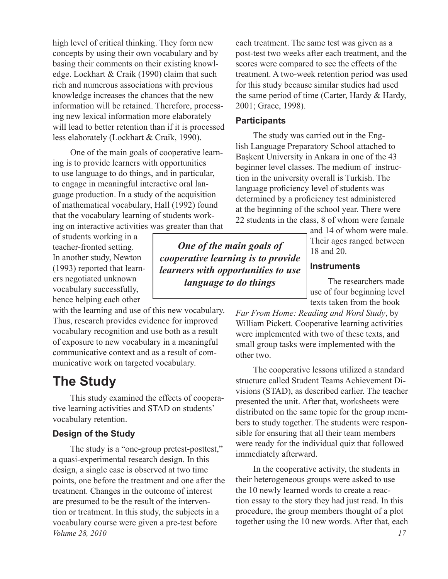high level of critical thinking. They form new concepts by using their own vocabulary and by basing their comments on their existing knowledge. Lockhart & Craik (1990) claim that such rich and numerous associations with previous knowledge increases the chances that the new information will be retained. Therefore, processing new lexical information more elaborately will lead to better retention than if it is processed less elaborately (Lockhart & Craik, 1990).

One of the main goals of cooperative learning is to provide learners with opportunities to use language to do things, and in particular, to engage in meaningful interactive oral language production. In a study of the acquisition of mathematical vocabulary, Hall (1992) found that the vocabulary learning of students working on interactive activities was greater than that

of students working in a teacher-fronted setting. In another study, Newton (1993) reported that learners negotiated unknown vocabulary successfully, hence helping each other

with the learning and use of this new vocabulary. Thus, research provides evidence for improved vocabulary recognition and use both as a result of exposure to new vocabulary in a meaningful communicative context and as a result of communicative work on targeted vocabulary.

## **The Study**

This study examined the effects of cooperative learning activities and STAD on students' vocabulary retention.

## **Design of the Study**

*Volume 28, 2010 17* The study is a "one-group pretest-posttest," a quasi-experimental research design. In this design, a single case is observed at two time points, one before the treatment and one after the treatment. Changes in the outcome of interest are presumed to be the result of the intervention or treatment. In this study, the subjects in a vocabulary course were given a pre-test before

each treatment. The same test was given as a post-test two weeks after each treatment, and the scores were compared to see the effects of the treatment. A two-week retention period was used for this study because similar studies had used the same period of time (Carter, Hardy & Hardy, 2001; Grace, 1998).

#### **Participants**

*One of the main goals of cooperative learning is to provide learners with opportunities to use language to do things*

The study was carried out in the English Language Preparatory School attached to Başkent University in Ankara in one of the 43 beginner level classes. The medium of instruction in the university overall is Turkish. The language profciency level of students was determined by a proficiency test administered at the beginning of the school year. There were 22 students in the class, 8 of whom were female

> and 14 of whom were male. Their ages ranged between 18 and 20.

#### **Instruments**

The researchers made use of four beginning level texts taken from the book

*Far From Home: Reading and Word Study*, by William Pickett. Cooperative learning activities were implemented with two of these texts, and small group tasks were implemented with the other two.

The cooperative lessons utilized a standard structure called Student Teams Achievement Divisions (STAD), as described earlier. The teacher presented the unit. After that, worksheets were distributed on the same topic for the group members to study together. The students were responsible for ensuring that all their team members were ready for the individual quiz that followed immediately afterward.

In the cooperative activity, the students in their heterogeneous groups were asked to use the 10 newly learned words to create a reaction essay to the story they had just read. In this procedure, the group members thought of a plot together using the 10 new words. After that, each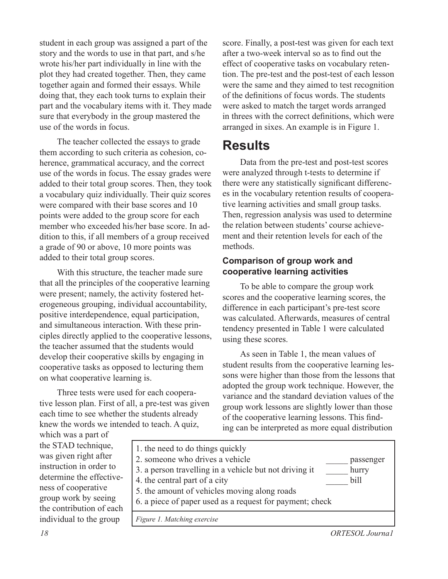student in each group was assigned a part of the story and the words to use in that part, and s/he wrote his/her part individually in line with the plot they had created together. Then, they came together again and formed their essays. While doing that, they each took turns to explain their part and the vocabulary items with it. They made sure that everybody in the group mastered the use of the words in focus.

The teacher collected the essays to grade them according to such criteria as cohesion, coherence, grammatical accuracy, and the correct use of the words in focus. The essay grades were added to their total group scores. Then, they took a vocabulary quiz individually. Their quiz scores were compared with their base scores and 10 points were added to the group score for each member who exceeded his/her base score. In addition to this, if all members of a group received a grade of 90 or above, 10 more points was added to their total group scores.

With this structure, the teacher made sure that all the principles of the cooperative learning were present; namely, the activity fostered heterogeneous grouping, individual accountability, positive interdependence, equal participation, and simultaneous interaction. With these principles directly applied to the cooperative lessons, the teacher assumed that the students would develop their cooperative skills by engaging in cooperative tasks as opposed to lecturing them on what cooperative learning is.

Three tests were used for each cooperative lesson plan. First of all, a pre-test was given each time to see whether the students already knew the words we intended to teach. A quiz,

score. Finally, a post-test was given for each text after a two-week interval so as to fnd out the effect of cooperative tasks on vocabulary retention. The pre-test and the post-test of each lesson were the same and they aimed to test recognition of the defnitions of focus words. The students were asked to match the target words arranged in threes with the correct defnitions, which were arranged in sixes. An example is in Figure 1.

## **Results**

Data from the pre-test and post-test scores were analyzed through t-tests to determine if there were any statistically signifcant differences in the vocabulary retention results of cooperative learning activities and small group tasks. Then, regression analysis was used to determine the relation between students' course achievement and their retention levels for each of the methods.

## **Comparison of group work and cooperative learning activities**

To be able to compare the group work scores and the cooperative learning scores, the difference in each participant's pre-test score was calculated. Afterwards, measures of central tendency presented in Table 1 were calculated using these scores.

As seen in Table 1, the mean values of student results from the cooperative learning lessons were higher than those from the lessons that adopted the group work technique. However, the variance and the standard deviation values of the group work lessons are slightly lower than those of the cooperative learning lessons. This fnding can be interpreted as more equal distribution

which was a part of the STAD technique, was given right after instruction in order to determine the effectiveness of cooperative group work by seeing the contribution of each individual to the group



*18 ORTESOL Journa1*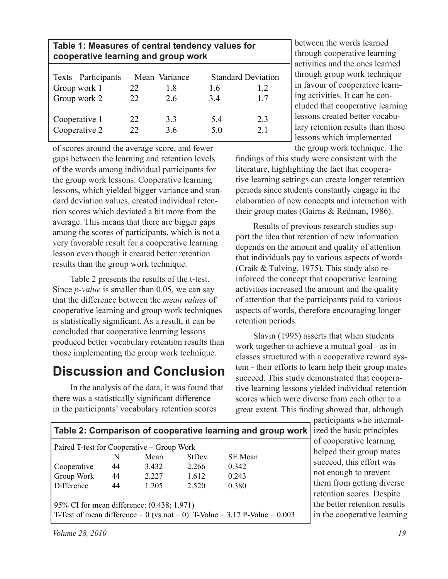| Table 1: Measures of central tendency values for<br>cooperative learning and group work |           |                            |                                        |           |  |  |  |  |  |
|-----------------------------------------------------------------------------------------|-----------|----------------------------|----------------------------------------|-----------|--|--|--|--|--|
| Texts Participants<br>Group work 1<br>Group work 2                                      | 22<br>22. | Mean Variance<br>18<br>2.6 | <b>Standard Deviation</b><br>16<br>3.4 | 12<br>17  |  |  |  |  |  |
| Cooperative 1<br>Cooperative 2                                                          | 22<br>22  | 33<br>3.6                  | 54<br>5.0                              | 23<br>2.1 |  |  |  |  |  |

of scores around the average score, and fewer gaps between the learning and retention levels of the words among individual participants for the group work lessons. Cooperative learning lessons, which yielded bigger variance and standard deviation values, created individual retention scores which deviated a bit more from the average. This means that there are bigger gaps among the scores of participants, which is not a very favorable result for a cooperative learning lesson even though it created better retention results than the group work technique.

Table 2 presents the results of the t-test. Since *p-value* is smaller than 0.05, we can say that the difference between the *mean values* of cooperative learning and group work techniques is statistically signifcant. As a result, it can be concluded that cooperative learning lessons produced better vocabulary retention results than those implementing the group work technique.

## **Discussion and Conclusion**

In the analysis of the data, it was found that there was a statistically signifcant difference in the participants' vocabulary retention scores

between the words learned through cooperative learning activities and the ones learned through group work technique in favour of cooperative learning activities. It can be concluded that cooperative learning lessons created better vocabulary retention results than those lessons which implemented the group work technique. The

fndings of this study were consistent with the literature, highlighting the fact that cooperative learning settings can create longer retention periods since students constantly engage in the elaboration of new concepts and interaction with their group mates (Gairns & Redman, 1986).

Results of previous research studies support the idea that retention of new information depends on the amount and quality of attention that individuals pay to various aspects of words (Craik & Tulving, 1975). This study also reinforced the concept that cooperative learning activities increased the amount and the quality of attention that the participants paid to various aspects of words, therefore encouraging longer retention periods.

Slavin (1995) asserts that when students work together to achieve a mutual goal - as in classes structured with a cooperative reward system - their efforts to learn help their group mates succeed. This study demonstrated that cooperative learning lessons yielded individual retention scores which were diverse from each other to a great extent. This fnding showed that, although

| Table 2: Comparison of cooperative learning and group work                     |    |       |              |                |  |  |  |
|--------------------------------------------------------------------------------|----|-------|--------------|----------------|--|--|--|
| Paired T-test for Cooperative – Group Work                                     |    |       |              |                |  |  |  |
|                                                                                | N  | Mean  | <b>StDev</b> | <b>SE</b> Mean |  |  |  |
| Cooperative                                                                    | 44 | 3.432 | 2.266        | 0.342          |  |  |  |
| Group Work                                                                     | 44 | 2.227 | 1.612        | 0.243          |  |  |  |
| Difference                                                                     | 44 | 1.205 | 2.520        | 0.380          |  |  |  |
|                                                                                |    |       |              |                |  |  |  |
| 95% CI for mean difference: (0.438; 1.971)                                     |    |       |              |                |  |  |  |
| T-Test of mean difference = 0 (vs not = 0): T-Value = $3.17$ P-Value = $0.003$ |    |       |              |                |  |  |  |

participants who internalized the basic principles of cooperative learning helped their group mates succeed, this effort was not enough to prevent them from getting diverse retention scores. Despite the better retention results in the cooperative learning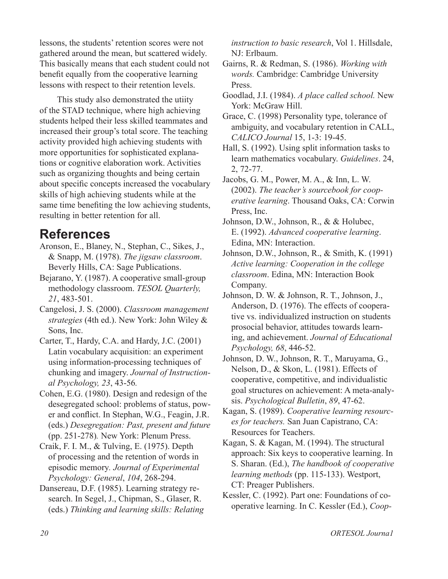lessons, the students' retention scores were not gathered around the mean, but scattered widely. This basically means that each student could not beneft equally from the cooperative learning lessons with respect to their retention levels.

This study also demonstrated the utiity of the STAD technique, where high achieving students helped their less skilled teammates and increased their group's total score. The teaching activity provided high achieving students with more opportunities for sophisticated explanations or cognitive elaboration work. Activities such as organizing thoughts and being certain about specifc concepts increased the vocabulary skills of high achieving students while at the same time benefting the low achieving students, resulting in better retention for all.

## **References**

- Aronson, E., Blaney, N., Stephan, C., Sikes, J., & Snapp, M. (1978). *The jigsaw classroom*. Beverly Hills, CA: Sage Publications.
- Bejarano, Y. (1987). A cooperative small-group methodology classroom. *TESOL Quarterly, 21*, 483-501.
- Cangelosi, J. S. (2000). *Classroom management strategies* (4th ed.). New York: John Wiley & Sons, Inc.
- Carter, T., Hardy, C.A. and Hardy, J.C. (2001) Latin vocabulary acquisition: an experiment using information-processing techniques of chunking and imagery. *Journal of Instructional Psychology, 23*, 43-56*.*
- Cohen, E.G. (1980). Design and redesign of the desegregated school: problems of status, power and confict. In Stephan, W.G., Feagin, J.R. (eds.) *Desegregation: Past, present and future* (pp. 251-278)*.* New York: Plenum Press.
- Craik, F. I. M., & Tulving, E. (1975). Depth of processing and the retention of words in episodic memory*. Journal of Experimental Psychology: General*, *104*, 268-294.
- Dansereau, D.F. (1985). Learning strategy research. In Segel, J., Chipman, S., Glaser, R. (eds.) *Thinking and learning skills: Relating*

*instruction to basic research*, Vol 1. Hillsdale, NJ: Erlbaum.

- Gairns, R. & Redman, S. (1986). *Working with words.* Cambridge: Cambridge University Press.
- Goodlad, J.I. (1984). *A place called school.* New York: McGraw Hill.
- Grace, C. (1998) Personality type, tolerance of ambiguity, and vocabulary retention in CALL, *CALICO Journal* 15, 1-3: 19-45.
- Hall, S. (1992). Using split information tasks to learn mathematics vocabulary. *Guidelines*. 24, 2, 72-77.
- Jacobs, G. M., Power, M. A., & Inn, L. W. (2002). *The teacher's sourcebook for cooperative learning*. Thousand Oaks, CA: Corwin Press, Inc.
- Johnson, D.W., Johnson, R., & & Holubec, E. (1992). *Advanced cooperative learning*. Edina, MN: Interaction.
- Johnson, D.W., Johnson, R., & Smith, K. (1991) *Active learning: Cooperation in the college classroom*. Edina, MN: Interaction Book Company.
- Johnson, D. W. & Johnson, R. T., Johnson, J., Anderson, D. (1976). The effects of cooperative vs. individualized instruction on students prosocial behavior, attitudes towards learning, and achievement. *Journal of Educational Psychology, 68*, 446-52.
- Johnson, D. W., Johnson, R. T., Maruyama, G., Nelson, D., & Skon, L. (1981). Effects of cooperative, competitive, and individualistic goal structures on achievement: A meta-analysis. *Psychological Bulletin*, *89*, 47-62.
- Kagan, S. (1989). *Cooperative learning resources for teachers.* San Juan Capistrano, CA: Resources for Teachers.
- Kagan, S. & Kagan, M. (1994). The structural approach: Six keys to cooperative learning. In S. Sharan. (Ed.), *The handbook of cooperative learning methods* (pp. 115-133). Westport, CT: Preager Publishers.
- Kessler, C. (1992). Part one: Foundations of cooperative learning. In C. Kessler (Ed.), *Coop-*